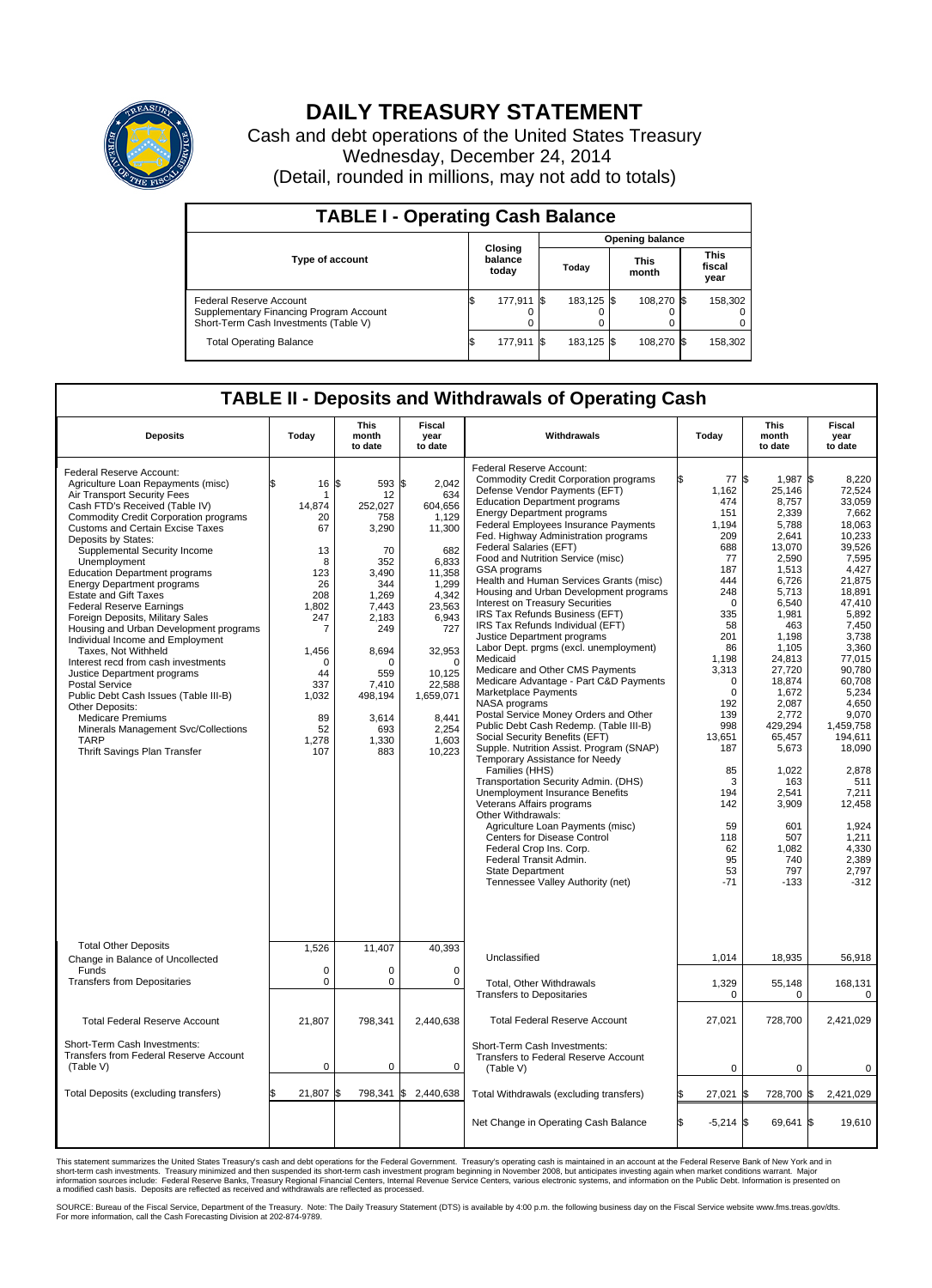

## **DAILY TREASURY STATEMENT**

Cash and debt operations of the United States Treasury Wednesday, December 24, 2014 (Detail, rounded in millions, may not add to totals)

| <b>TABLE I - Operating Cash Balance</b>                                                                     |                             |            |  |                        |  |                      |  |                               |  |
|-------------------------------------------------------------------------------------------------------------|-----------------------------|------------|--|------------------------|--|----------------------|--|-------------------------------|--|
|                                                                                                             | Closing<br>balance<br>today |            |  | <b>Opening balance</b> |  |                      |  |                               |  |
| <b>Type of account</b>                                                                                      |                             |            |  | Today                  |  | <b>This</b><br>month |  | <b>This</b><br>fiscal<br>year |  |
| Federal Reserve Account<br>Supplementary Financing Program Account<br>Short-Term Cash Investments (Table V) |                             | 177,911 \$ |  | 183.125 \$             |  | 108.270 \$           |  | 158,302                       |  |
| <b>Total Operating Balance</b>                                                                              | ıъ                          | 177,911 \$ |  | 183,125 \$             |  | 108,270 \$           |  | 158,302                       |  |

## **TABLE II - Deposits and Withdrawals of Operating Cash**

| <b>Deposits</b>                                                                                                                                                                                                                                                                                                                                                                                                                                                                                                                                                                                                                                                                                                                                                                                                                                    | Today                                                                                                                                                          | This<br>month<br>to date                                                                                                                                                               | Fiscal<br>year<br>to date                                                                                                                                                                                    | Withdrawals                                                                                                                                                                                                                                                                                                                                                                                                                                                                                                                                                                                                                                                                                                                                                                                                                                                                                                                                                                                                                                                                                                                                                                                                                                                                                                     | Today                                                                                                                                                                                                                                                                       | <b>This</b><br>month<br>to date                                                                                                                                                                                                                                                                                                | Fiscal<br>year<br>to date                                                                                                                                                                                                                                                                                                                 |
|----------------------------------------------------------------------------------------------------------------------------------------------------------------------------------------------------------------------------------------------------------------------------------------------------------------------------------------------------------------------------------------------------------------------------------------------------------------------------------------------------------------------------------------------------------------------------------------------------------------------------------------------------------------------------------------------------------------------------------------------------------------------------------------------------------------------------------------------------|----------------------------------------------------------------------------------------------------------------------------------------------------------------|----------------------------------------------------------------------------------------------------------------------------------------------------------------------------------------|--------------------------------------------------------------------------------------------------------------------------------------------------------------------------------------------------------------|-----------------------------------------------------------------------------------------------------------------------------------------------------------------------------------------------------------------------------------------------------------------------------------------------------------------------------------------------------------------------------------------------------------------------------------------------------------------------------------------------------------------------------------------------------------------------------------------------------------------------------------------------------------------------------------------------------------------------------------------------------------------------------------------------------------------------------------------------------------------------------------------------------------------------------------------------------------------------------------------------------------------------------------------------------------------------------------------------------------------------------------------------------------------------------------------------------------------------------------------------------------------------------------------------------------------|-----------------------------------------------------------------------------------------------------------------------------------------------------------------------------------------------------------------------------------------------------------------------------|--------------------------------------------------------------------------------------------------------------------------------------------------------------------------------------------------------------------------------------------------------------------------------------------------------------------------------|-------------------------------------------------------------------------------------------------------------------------------------------------------------------------------------------------------------------------------------------------------------------------------------------------------------------------------------------|
| Federal Reserve Account:<br>Agriculture Loan Repayments (misc)<br>Air Transport Security Fees<br>Cash FTD's Received (Table IV)<br>Commodity Credit Corporation programs<br>Customs and Certain Excise Taxes<br>Deposits by States:<br>Supplemental Security Income<br>Unemployment<br><b>Education Department programs</b><br><b>Energy Department programs</b><br><b>Estate and Gift Taxes</b><br><b>Federal Reserve Earnings</b><br>Foreign Deposits, Military Sales<br>Housing and Urban Development programs<br>Individual Income and Employment<br>Taxes. Not Withheld<br>Interest recd from cash investments<br>Justice Department programs<br>Postal Service<br>Public Debt Cash Issues (Table III-B)<br>Other Deposits:<br><b>Medicare Premiums</b><br>Minerals Management Svc/Collections<br><b>TARP</b><br>Thrift Savings Plan Transfer | 16<br>\$<br>1<br>14,874<br>20<br>67<br>13<br>8<br>123<br>26<br>208<br>1,802<br>247<br>7<br>1,456<br>$\Omega$<br>44<br>337<br>1,032<br>89<br>52<br>1,278<br>107 | l\$<br>593 \$<br>12<br>252,027<br>758<br>3,290<br>70<br>352<br>3.490<br>344<br>1.269<br>7.443<br>2,183<br>249<br>8,694<br>O<br>559<br>7,410<br>498,194<br>3,614<br>693<br>1.330<br>883 | 2,042<br>634<br>604,656<br>1,129<br>11,300<br>682<br>6,833<br>11,358<br>1,299<br>4,342<br>23,563<br>6,943<br>727<br>32,953<br>$\Omega$<br>10,125<br>22,588<br>1,659,071<br>8,441<br>2,254<br>1,603<br>10,223 | Federal Reserve Account:<br><b>Commodity Credit Corporation programs</b><br>Defense Vendor Payments (EFT)<br><b>Education Department programs</b><br><b>Energy Department programs</b><br>Federal Employees Insurance Payments<br>Fed. Highway Administration programs<br>Federal Salaries (EFT)<br>Food and Nutrition Service (misc)<br>GSA programs<br>Health and Human Services Grants (misc)<br>Housing and Urban Development programs<br>Interest on Treasury Securities<br>IRS Tax Refunds Business (EFT)<br>IRS Tax Refunds Individual (EFT)<br>Justice Department programs<br>Labor Dept. prgms (excl. unemployment)<br>Medicaid<br>Medicare and Other CMS Payments<br>Medicare Advantage - Part C&D Payments<br>Marketplace Payments<br>NASA programs<br>Postal Service Money Orders and Other<br>Public Debt Cash Redemp. (Table III-B)<br>Social Security Benefits (EFT)<br>Supple. Nutrition Assist. Program (SNAP)<br>Temporary Assistance for Needy<br>Families (HHS)<br>Transportation Security Admin. (DHS)<br><b>Unemployment Insurance Benefits</b><br>Veterans Affairs programs<br>Other Withdrawals:<br>Agriculture Loan Payments (misc)<br>Centers for Disease Control<br>Federal Crop Ins. Corp.<br>Federal Transit Admin.<br><b>State Department</b><br>Tennessee Valley Authority (net) | 77<br>1,162<br>474<br>151<br>1.194<br>209<br>688<br>77<br>187<br>444<br>248<br>$\mathbf 0$<br>335<br>58<br>201<br>86<br>1.198<br>3,313<br>$\mathbf 0$<br>$\mathbf 0$<br>192<br>139<br>998<br>13,651<br>187<br>85<br>3<br>194<br>142<br>59<br>118<br>62<br>95<br>53<br>$-71$ | l\$<br>1.987 \$<br>25,146<br>8,757<br>2,339<br>5,788<br>2,641<br>13,070<br>2,590<br>1,513<br>6,726<br>5,713<br>6,540<br>1,981<br>463<br>1,198<br>1,105<br>24,813<br>27,720<br>18,874<br>1,672<br>2,087<br>2,772<br>429,294<br>65,457<br>5,673<br>1,022<br>163<br>2,541<br>3,909<br>601<br>507<br>1,082<br>740<br>797<br>$-133$ | 8,220<br>72,524<br>33.059<br>7,662<br>18,063<br>10,233<br>39,526<br>7,595<br>4,427<br>21.875<br>18,891<br>47,410<br>5,892<br>7.450<br>3,738<br>3,360<br>77.015<br>90,780<br>60,708<br>5,234<br>4.650<br>9,070<br>1,459,758<br>194,611<br>18,090<br>2,878<br>511<br>7,211<br>12,458<br>1,924<br>1,211<br>4,330<br>2,389<br>2,797<br>$-312$ |
| <b>Total Other Deposits</b><br>Change in Balance of Uncollected                                                                                                                                                                                                                                                                                                                                                                                                                                                                                                                                                                                                                                                                                                                                                                                    | 1,526                                                                                                                                                          | 11,407                                                                                                                                                                                 | 40,393                                                                                                                                                                                                       | Unclassified                                                                                                                                                                                                                                                                                                                                                                                                                                                                                                                                                                                                                                                                                                                                                                                                                                                                                                                                                                                                                                                                                                                                                                                                                                                                                                    | 1,014                                                                                                                                                                                                                                                                       | 18,935                                                                                                                                                                                                                                                                                                                         | 56,918                                                                                                                                                                                                                                                                                                                                    |
| Funds<br><b>Transfers from Depositaries</b>                                                                                                                                                                                                                                                                                                                                                                                                                                                                                                                                                                                                                                                                                                                                                                                                        | $\mathbf 0$<br>$\pmb{0}$                                                                                                                                       | $\Omega$<br>0                                                                                                                                                                          | $\Omega$<br>$\mathbf 0$                                                                                                                                                                                      | Total, Other Withdrawals<br><b>Transfers to Depositaries</b>                                                                                                                                                                                                                                                                                                                                                                                                                                                                                                                                                                                                                                                                                                                                                                                                                                                                                                                                                                                                                                                                                                                                                                                                                                                    | 1,329<br>0                                                                                                                                                                                                                                                                  | 55,148<br>$\mathbf 0$                                                                                                                                                                                                                                                                                                          | 168,131<br>$\mathbf{0}$                                                                                                                                                                                                                                                                                                                   |
| <b>Total Federal Reserve Account</b>                                                                                                                                                                                                                                                                                                                                                                                                                                                                                                                                                                                                                                                                                                                                                                                                               | 21,807                                                                                                                                                         | 798,341                                                                                                                                                                                | 2,440,638                                                                                                                                                                                                    | <b>Total Federal Reserve Account</b>                                                                                                                                                                                                                                                                                                                                                                                                                                                                                                                                                                                                                                                                                                                                                                                                                                                                                                                                                                                                                                                                                                                                                                                                                                                                            | 27,021                                                                                                                                                                                                                                                                      | 728,700                                                                                                                                                                                                                                                                                                                        | 2,421,029                                                                                                                                                                                                                                                                                                                                 |
| Short-Term Cash Investments:<br>Transfers from Federal Reserve Account<br>(Table V)                                                                                                                                                                                                                                                                                                                                                                                                                                                                                                                                                                                                                                                                                                                                                                | $\mathbf 0$                                                                                                                                                    | 0                                                                                                                                                                                      | $\Omega$                                                                                                                                                                                                     | Short-Term Cash Investments:<br>Transfers to Federal Reserve Account<br>(Table V)                                                                                                                                                                                                                                                                                                                                                                                                                                                                                                                                                                                                                                                                                                                                                                                                                                                                                                                                                                                                                                                                                                                                                                                                                               | $\Omega$                                                                                                                                                                                                                                                                    | $\Omega$                                                                                                                                                                                                                                                                                                                       | $\Omega$                                                                                                                                                                                                                                                                                                                                  |
| Total Deposits (excluding transfers)                                                                                                                                                                                                                                                                                                                                                                                                                                                                                                                                                                                                                                                                                                                                                                                                               | \$<br>21,807                                                                                                                                                   | l\$                                                                                                                                                                                    | 798,341 \$ 2,440,638                                                                                                                                                                                         | Total Withdrawals (excluding transfers)                                                                                                                                                                                                                                                                                                                                                                                                                                                                                                                                                                                                                                                                                                                                                                                                                                                                                                                                                                                                                                                                                                                                                                                                                                                                         | 27,021                                                                                                                                                                                                                                                                      | 728,700<br>l\$                                                                                                                                                                                                                                                                                                                 | 2,421,029<br>1\$                                                                                                                                                                                                                                                                                                                          |
|                                                                                                                                                                                                                                                                                                                                                                                                                                                                                                                                                                                                                                                                                                                                                                                                                                                    |                                                                                                                                                                |                                                                                                                                                                                        |                                                                                                                                                                                                              | Net Change in Operating Cash Balance                                                                                                                                                                                                                                                                                                                                                                                                                                                                                                                                                                                                                                                                                                                                                                                                                                                                                                                                                                                                                                                                                                                                                                                                                                                                            | l\$<br>$-5,214$ \$                                                                                                                                                                                                                                                          | 69.641 \$                                                                                                                                                                                                                                                                                                                      | 19.610                                                                                                                                                                                                                                                                                                                                    |

This statement summarizes the United States Treasury's cash and debt operations for the Federal Government. Treasury's operating cash is maintained in an account at the Federal Reserve Bank of New York and in<br>short-term ca

SOURCE: Bureau of the Fiscal Service, Department of the Treasury. Note: The Daily Treasury Statement (DTS) is available by 4:00 p.m. the following business day on the Fiscal Service website www.fms.treas.gov/dts.<br>For more